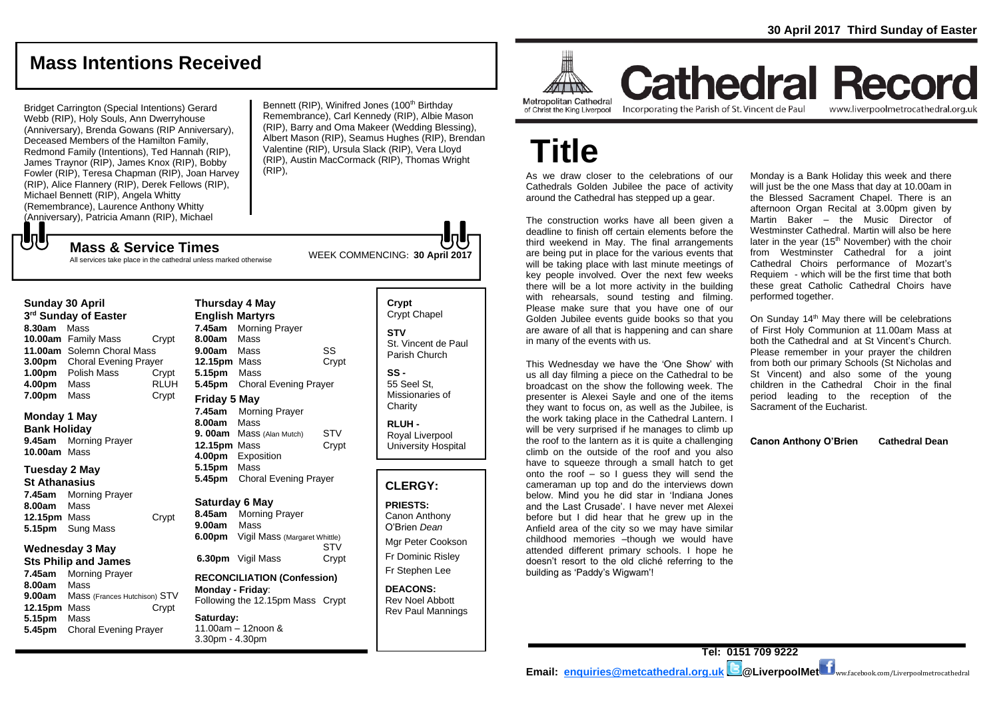# **Mass Intentions Received**

Bridget Carrington (Special Intentions) Gerard Webb (RIP), Holy Souls, Ann Dwerryhouse (Anniversary), Brenda Gowans (RIP Anniversary), Deceased Members of the Hamilton Family, Redmond Family (Intentions), Ted Hannah (RIP), James Traynor (RIP), James Knox (RIP), Bobby Fowler (RIP), Teresa Chapman (RIP), Joan Harvey (RIP), Alice Flannery (RIP), Derek Fellows (RIP), Michael Bennett (RIP), Angela Whitty (Remembrance), Laurence Anthony Whitty (Anniversary), Patricia Amann (RIP), Michael

Bennett (RIP), Winifred Jones (100<sup>th</sup> Birthday Remembrance), Carl Kennedy (RIP), Albie Mason (RIP), Barry and Oma Makeer (Wedding Blessing), Albert Mason (RIP), Seamus Hughes (RIP), Brendan Valentine (RIP), Ursula Slack (RIP), Vera Lloyd (RIP), Austin MacCormack (RIP), Thomas Wright (RIP),

WEEK COMMENCING: **<sup>30</sup> April <sup>2017</sup> Mass & Service Times**

All services take place in the cathedral unless marked otherwise

#### **Sunday 30 April**

**UU** 

**3 rd Sunday of Easter 8.30am** Mass **10.00am** Family Mass Crypt **11.00am** Solemn Choral Mass **3.00pm** Choral Evening Prayer **1.00pm** Polish Mass Crypt **4.00pm** Mass RLUH **7.00pm** Mass Crypt

### **Monday 1 May Bank Holiday**

**9.45am** Morning Prayer **10.00am** Mass

### **Tuesday 2 May**

**St Athanasius 7.45am** Morning Prayer **8.00am** Mass **12.15pm** Mass Crypt **5.15pm** Sung Mass

#### **Wednesday 3 May Sts Philip and James**

**7.45am** Morning Prayer **8.00am** Mass **9.00am** Mass (Frances Hutchison) STV **12.15pm** Mass Crypt **5.15pm** Mass **5.45pm** Choral Evening Prayer

#### **English Martyrs 7.45am** Morning Prayer **8.00am** Mass **9.00am** Mass SS **12.15pm** Mass Crypt **5.15pm** Mass **5.45pm** Choral Evening Prayer **Friday 5 May 7.45am** Morning Prayer **8.00am** Mass

**Thursday 4 May**

**9. 00am** Mass (Alan Mutch) STV **12.15pm** Mass Crypt **4.00pm** Exposition **5.15pm** Mass **5.45pm** Choral Evening Prayer

### **Saturday 6 May**

**8.45am** Morning Prayer **9.00am** Mass **6.00pm** Vigil Mass (Margaret Whittle) STV **6.30pm** Vigil Mass Crypt

### **RECONCILIATION (Confession) Monday - Friday**:

Following the 12.15pm Mass Crypt

**Saturday:** 11.00am – 12noon & 3.30pm - 4.30pm

### **Crypt**  Crypt Chapel **STV** St. Vincent de Paul Parish Church **SS -** 55 Seel St,

Missionaries of **Charity** 

**RLUH -** Royal Liverpool University Hospital

### **CLERGY:**

**PRIESTS:** Canon Anthony O'Brien *Dean*

Mgr Peter Cookson Fr Dominic Risley Fr Stephen Lee

**DEACONS:** Rev Noel Abbott Rev Paul Mannings

**Report ATTING Metropolitan Cathedral** of Christ the King Liverpool

Incorporating the Parish of St. Vincent de Paul

**Cathedral Record** www.liverpoolmetrocathedral.org.uk

**Title**

As we draw closer to the celebrations of our Cathedrals Golden Jubilee the pace of activity around the Cathedral has stepped up a gear.

The construction works have all been given a deadline to finish off certain elements before the third weekend in May. The final arrangements are being put in place for the various events that will be taking place with last minute meetings of key people involved. Over the next few weeks there will be a lot more activity in the building with rehearsals, sound testing and filming. Please make sure that you have one of our Golden Jubilee events guide books so that you are aware of all that is happening and can share in many of the events with us.

This Wednesday we have the 'One Show' with us all day filming a piece on the Cathedral to be broadcast on the show the following week. The presenter is Alexei Sayle and one of the items they want to focus on, as well as the Jubilee, is the work taking place in the Cathedral Lantern. I will be very surprised if he manages to climb up the roof to the lantern as it is quite a challenging climb on the outside of the roof and you also have to squeeze through a small hatch to get onto the roof  $-$  so I guess they will send the cameraman up top and do the interviews down below. Mind you he did star in 'Indiana Jones and the Last Crusade'. I have never met Alexei before but I did hear that he grew up in the Anfield area of the city so we may have similar childhood memories –though we would have attended different primary schools. I hope he doesn't resort to the old cliché referring to the building as 'Paddy's Wigwam'!

Monday is a Bank Holiday this week and there will just be the one Mass that day at 10.00am in the Blessed Sacrament Chapel. There is an afternoon Organ Recital at 3.00pm given by Martin Baker – the Music Director of Westminster Cathedral. Martin will also be here later in the year  $(15<sup>th</sup>$  November) with the choir from Westminster Cathedral for a joint Cathedral Choirs performance of Mozart's Requiem - which will be the first time that both these great Catholic Cathedral Choirs have performed together.

On Sunday 14<sup>th</sup> May there will be celebrations of First Holy Communion at 11.00am Mass at both the Cathedral and at St Vincent's Church. Please remember in your prayer the children from both our primary Schools (St Nicholas and St Vincent) and also some of the young children in the Cathedral Choir in the final period leading to the reception of the Sacrament of the Eucharist.

**Canon Anthony O'Brien Cathedral Dean**